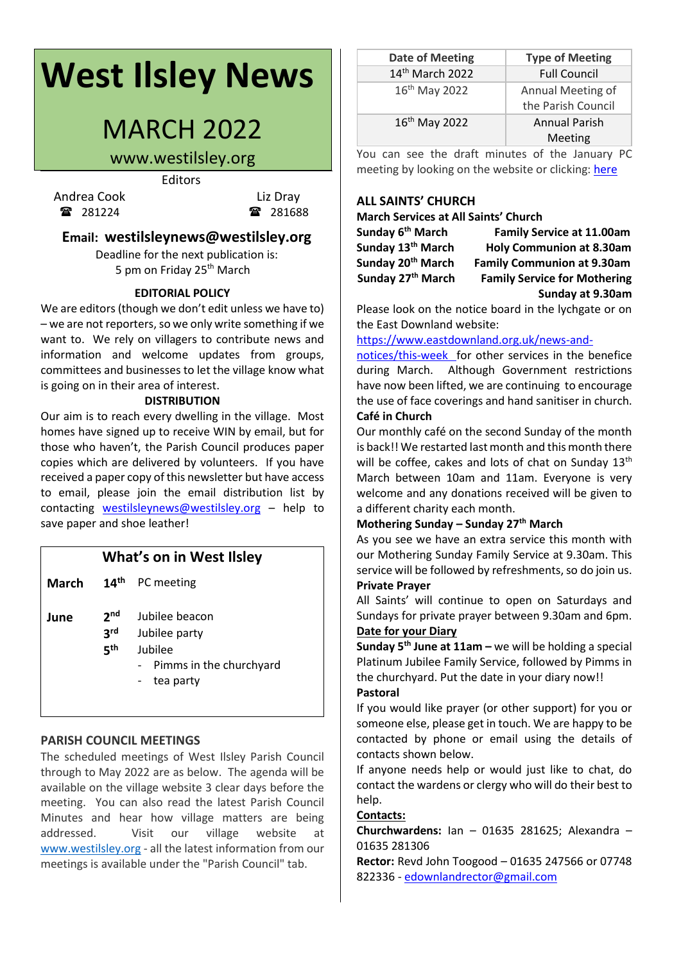# **West Ilsley News**

## MARCH 2022

### www.westilsley.org

Editors

Andrea Cook Liz Dray 281224 **281688** 

#### **Email: westilsleynews@westilsley.org**

Deadline for the next publication is: 5 pm on Friday 25<sup>th</sup> March

#### **EDITORIAL POLICY**

We are editors (though we don't edit unless we have to)  $-$  we are not reporters, so we only write something if we want to. We rely on villagers to contribute news and information and welcome updates from groups, committees and businesses to let the village know what is going on in their area of interest.

#### **DISTRIBUTION**

Our aim is to reach every dwelling in the village. Most homes have signed up to receive WIN by email, but for those who haven't, the Parish Council produces paper copies which are delivered by volunteers. If you have received a paper copy of this newsletter but have access to email, please join the email distribution list by contacting [westilsleynews@westilsley.org](mailto:westilsleynews@westilsley.org) – help to save paper and shoe leather!

#### **What's on in West Ilsley**

**March 14** 14<sup>th</sup> PC meeting

- **3** Jubilee party
- **5 th** Jubilee
	- Pimms in the churchyard
	- tea party

#### **PARISH COUNCIL MEETINGS**

The scheduled meetings of West Ilsley Parish Council through to May 2022 are as below. The agenda will be available on the village website 3 clear days before the meeting. You can also read the latest Parish Council Minutes and hear how village matters are being addressed. Visit our village website at [www.westilsley.org](https://emea01.safelinks.protection.outlook.com/?url=http%3A%2F%2Fwww.westilsley.org%2F&data=04%7C01%7C%7C68d5140e863344d0f7d508d9146e9847%7C84df9e7fe9f640afb435aaaaaaaaaaaa%7C1%7C0%7C637563287495181686%7CUnknown%7CTWFpbGZsb3d8eyJWIjoiMC4wLjAwMDAiLCJQIjoiV2luMzIiLCJBTiI6Ik1haWwiLCJXVCI6Mn0%3D%7C1000&sdata=2lx64LgF0%2F9MZCg5U2WhPVm1NSnIgt1c0aHmd9irJHE%3D&reserved=0) - all the latest information from our meetings is available under the "Parish Council" tab.

| Date of Meeting           | <b>Type of Meeting</b>                  |
|---------------------------|-----------------------------------------|
| $14th$ March 2022         | <b>Full Council</b>                     |
| $16th$ May 2022           | Annual Meeting of<br>the Parish Council |
| 16 <sup>th</sup> May 2022 | Annual Parish<br>Meeting                |

You can see the draft minutes of the January PC meeting by looking on the website or clicking: [here](https://www.westilsley.org/shared/attachments.asp?f=955bc676%2D463f%2D4974%2Db171%2D66174235dd3c%2Epdf&o=2022%2D01%2D17%2DFull%2DCouncil%2DMinutes%2Epdf)

#### **ALL SAINTS' CHURCH**

**March Services at All Saints' Church**

| Sunday 6 <sup>tn</sup> March  |  |
|-------------------------------|--|
| Sunday 13 <sup>th</sup> March |  |
| Sunday 20 <sup>th</sup> March |  |
| Sunday 27 <sup>th</sup> March |  |
|                               |  |

**Family Service at 11.00am Sunday 13th March Holy Communion at 8.30am Family Communion at 9.30am Family Service for Mothering Sunday at 9.30am**

Please look on the notice board in the lychgate or on the East Downland website:

#### [https://www.eastdownland.org.uk/news-and-](https://www.eastdownland.org.uk/news-and-notices/this-week)

[notices/this-week](https://www.eastdownland.org.uk/news-and-notices/this-week) for other services in the benefice during March. Although Government restrictions have now been lifted, we are continuing to encourage the use of face coverings and hand sanitiser in church. **Café in Church**

Our monthly café on the second Sunday of the month is back!! We restarted last month and this month there will be coffee, cakes and lots of chat on Sunday 13<sup>th</sup> March between 10am and 11am. Everyone is very welcome and any donations received will be given to a different charity each month.

#### **Mothering Sunday – Sunday 27th March**

As you see we have an extra service this month with our Mothering Sunday Family Service at 9.30am. This service will be followed by refreshments, so do join us.

#### **Private Prayer**

All Saints' will continue to open on Saturdays and Sundays for private prayer between 9.30am and 6pm. **Date for your Diary**

**Sunday 5th June at 11am –** we will be holding a special Platinum Jubilee Family Service, followed by Pimms in the churchyard. Put the date in your diary now!!

#### **Pastoral**

If you would like prayer (or other support) for you or someone else, please get in touch. We are happy to be contacted by phone or email using the details of contacts shown below.

If anyone needs help or would just like to chat, do contact the wardens or clergy who will do their best to help.

#### **Contacts:**

**Churchwardens:** Ian – 01635 281625; Alexandra – 01635 281306

**Rector:** Revd John Toogood – 01635 247566 or 07748 822336 - [edownlandrector@gmail.com](mailto:edownlandrector@gmail.com)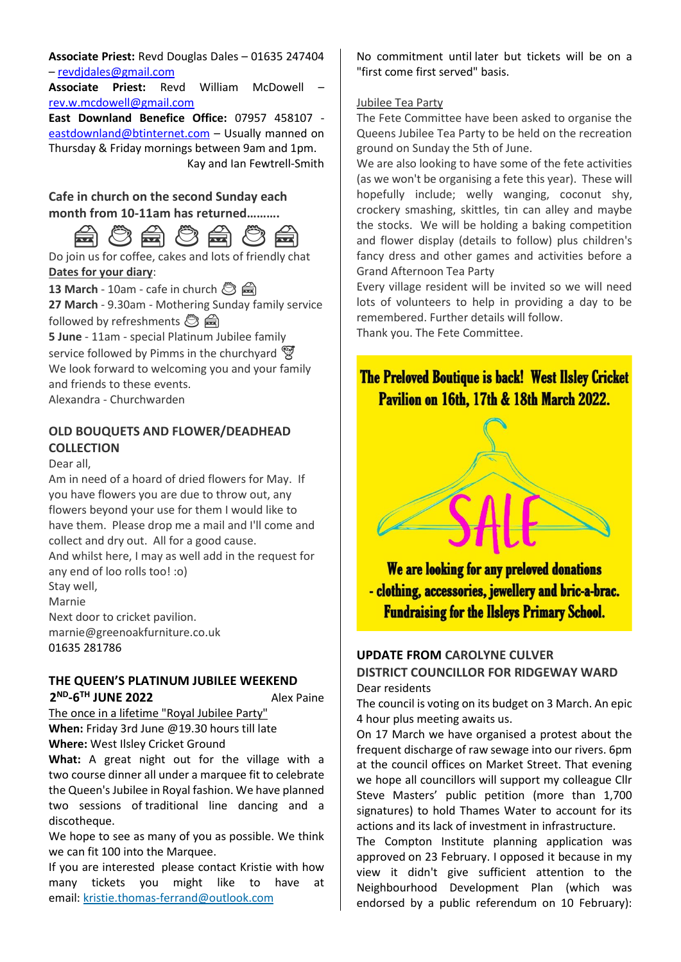**Associate Priest:** Revd Douglas Dales – 01635 247404 – [revdjdales@gmail.com](mailto:revdjdales@gmail.com)

**Associate Priest:** Revd William McDowell – [rev.w.mcdowell@gmail.com](mailto:rev.w.mcdowell@gmail.com)

**East Downland Benefice Office:** 07957 458107 [eastdownland@btinternet.com](mailto:eastdownland@btinternet.com) – Usually manned on Thursday & Friday mornings between 9am and 1pm. Kay and Ian Fewtrell-Smith

**Cafe in church on the second Sunday each month from 10-11am has returned……….**



Do join us for coffee, cakes and lots of friendly chat **Dates for your diary**:

**13 March** - 10am - cafe in church **③ 27 March** - 9.30am - Mothering Sunday family service followed by refreshments <a> **5 June** - 11am - special Platinum Jubilee family service followed by Pimms in the churchyard

We look forward to welcoming you and your family and friends to these events.

Alexandra - Churchwarden

#### **OLD BOUQUETS AND FLOWER/DEADHEAD COLLECTION**

Dear all,

Am in need of a hoard of dried flowers for May. If you have flowers you are due to throw out, any flowers beyond your use for them I would like to have them. Please drop me a mail and I'll come and collect and dry out. All for a good cause. And whilst here, I may as well add in the request for any end of loo rolls too! :o) Stay well, Marnie Next door to cricket pavilion. marnie@greenoakfurniture.co.uk

01635 281786

## **THE QUEEN'S PLATINUM JUBILEE WEEKEND**

**2 ND -6 TH JUNE 2022** Alex Paine

The once in a lifetime "Royal Jubilee Party" **When:** Friday 3rd June @19.30 hours till late **Where:** West Ilsley Cricket Ground

**What:** A great night out for the village with a two course dinner all under a marquee fit to celebrate the Queen's Jubilee in Royal fashion. We have planned two sessions of traditional line dancing and a discotheque.

We hope to see as many of you as possible. We think we can fit 100 into the Marquee.

If you are interested please contact Kristie with how many tickets you might like to have at email: [kristie.thomas-ferrand@outlook.com](mailto:kristie.thomas-ferrand@outlook.com)

No commitment until later but tickets will be on a "first come first served" basis.

#### Jubilee Tea Party

The Fete Committee have been asked to organise the Queens Jubilee Tea Party to be held on the recreation ground on Sunday the 5th of June.

We are also looking to have some of the fete activities (as we won't be organising a fete this year). These will hopefully include; welly wanging, coconut shy, crockery smashing, skittles, tin can alley and maybe the stocks. We will be holding a baking competition and flower display (details to follow) plus children's fancy dress and other games and activities before a Grand Afternoon Tea Party

Every village resident will be invited so we will need lots of volunteers to help in providing a day to be remembered. Further details will follow. Thank you. The Fete Committee.

The Preloved Boutique is back! West Ilsley Cricket Pavilion on 16th, 17th & 18th March 2022.



We are looking for any preloved donations - clothing, accessories, jewellery and bric-a-brac. **Fundraising for the Ilsleys Primary School.** 

#### **UPDATE FROM CAROLYNE CULVER DISTRICT COUNCILLOR FOR RIDGEWAY WARD** Dear residents

The council is voting on its budget on 3 March. An epic 4 hour plus meeting awaits us.

On 17 March we have organised a protest about the frequent discharge of raw sewage into our rivers. 6pm at the council offices on Market Street. That evening we hope all councillors will support my colleague Cllr Steve Masters' public petition (more than 1,700 signatures) to hold Thames Water to account for its actions and its lack of investment in infrastructure.

The Compton Institute planning application was approved on 23 February. I opposed it because in my view it didn't give sufficient attention to the Neighbourhood Development Plan (which was endorsed by a public referendum on 10 February):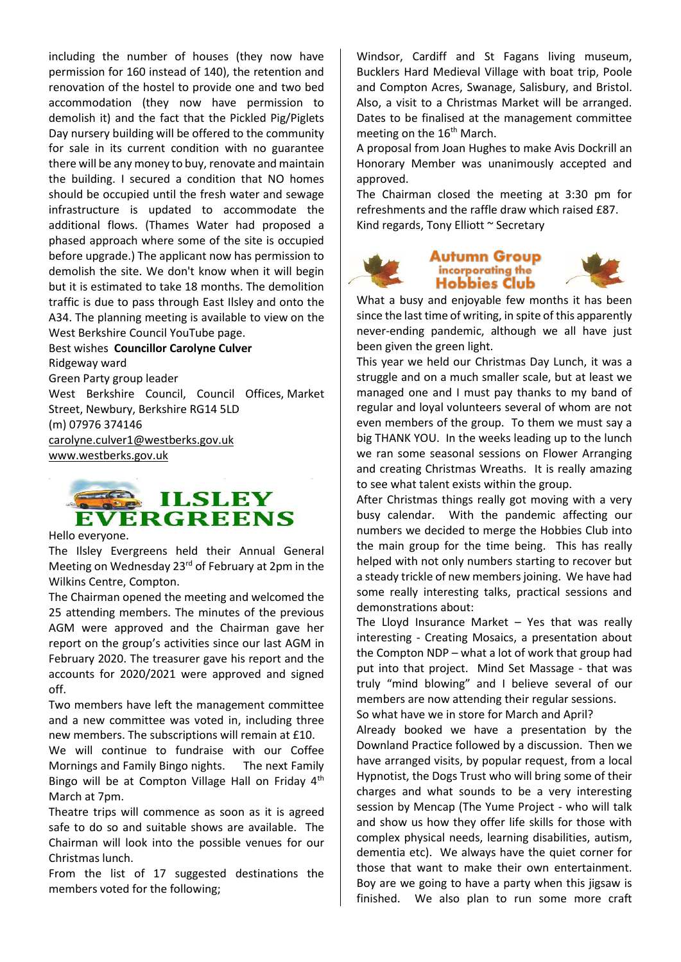including the number of houses (they now have permission for 160 instead of 140), the retention and renovation of the hostel to provide one and two bed accommodation (they now have permission to demolish it) and the fact that the Pickled Pig/Piglets Day nursery building will be offered to the community for sale in its current condition with no guarantee there will be any money to buy, renovate and maintain the building. I secured a condition that NO homes should be occupied until the fresh water and sewage infrastructure is updated to accommodate the additional flows. (Thames Water had proposed a phased approach where some of the site is occupied before upgrade.) The applicant now has permission to demolish the site. We don't know when it will begin but it is estimated to take 18 months. The demolition traffic is due to pass through East Ilsley and onto the A34. The planning meeting is available to view on the West Berkshire Council YouTube page.

Best wishes **Councillor Carolyne Culver** Ridgeway ward Green Party group leader West Berkshire Council, Council Offices, Market Street, Newbury, Berkshire RG14 5LD (m) 07976 374146 [carolyne.culver1@westberks.gov.uk](mailto:carolyne.culver1@westberks.gov.uk) [www.westberks.gov.uk](http://www.westberks.gov.uk/)



Hello everyone.

The Ilsley Evergreens held their Annual General Meeting on Wednesday 23<sup>rd</sup> of February at 2pm in the Wilkins Centre, Compton.

The Chairman opened the meeting and welcomed the 25 attending members. The minutes of the previous AGM were approved and the Chairman gave her report on the group's activities since our last AGM in February 2020. The treasurer gave his report and the accounts for 2020/2021 were approved and signed off.

Two members have left the management committee and a new committee was voted in, including three new members. The subscriptions will remain at £10.

We will continue to fundraise with our Coffee Mornings and Family Bingo nights. The next Family Bingo will be at Compton Village Hall on Friday 4<sup>th</sup> March at 7pm.

Theatre trips will commence as soon as it is agreed safe to do so and suitable shows are available. The Chairman will look into the possible venues for our Christmas lunch.

From the list of 17 suggested destinations the members voted for the following;

Windsor, Cardiff and St Fagans living museum, Bucklers Hard Medieval Village with boat trip, Poole and Compton Acres, Swanage, Salisbury, and Bristol. Also, a visit to a Christmas Market will be arranged. Dates to be finalised at the management committee meeting on the 16<sup>th</sup> March.

A proposal from Joan Hughes to make Avis Dockrill an Honorary Member was unanimously accepted and approved.

The Chairman closed the meeting at 3:30 pm for refreshments and the raffle draw which raised £87. Kind regards, Tony Elliott ~ Secretary



#### **Autumn Group** incorporating the **Hobbies Club**

What a busy and enjoyable few months it has been since the last time of writing, in spite of this apparently never-ending pandemic, although we all have just been given the green light.

This year we held our Christmas Day Lunch, it was a struggle and on a much smaller scale, but at least we managed one and I must pay thanks to my band of regular and loyal volunteers several of whom are not even members of the group. To them we must say a big THANK YOU. In the weeks leading up to the lunch we ran some seasonal sessions on Flower Arranging and creating Christmas Wreaths. It is really amazing to see what talent exists within the group.

After Christmas things really got moving with a very busy calendar. With the pandemic affecting our numbers we decided to merge the Hobbies Club into the main group for the time being. This has really helped with not only numbers starting to recover but a steady trickle of new members joining. We have had some really interesting talks, practical sessions and demonstrations about:

The Lloyd Insurance Market  $-$  Yes that was really interesting - Creating Mosaics, a presentation about the Compton NDP – what a lot of work that group had put into that project. Mind Set Massage - that was truly "mind blowing" and I believe several of our members are now attending their regular sessions. So what have we in store for March and April?

Already booked we have a presentation by the Downland Practice followed by a discussion. Then we have arranged visits, by popular request, from a local Hypnotist, the Dogs Trust who will bring some of their charges and what sounds to be a very interesting session by Mencap (The Yume Project - who will talk and show us how they offer life skills for those with complex physical needs, learning disabilities, autism, dementia etc). We always have the quiet corner for those that want to make their own entertainment. Boy are we going to have a party when this jigsaw is finished. We also plan to run some more craft